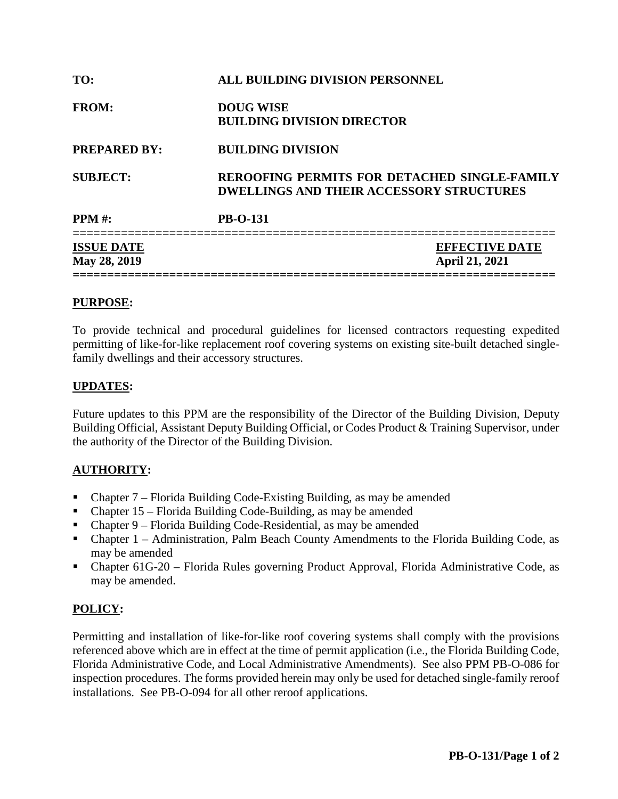| TO:                               | ALL BUILDING DIVISION PERSONNEL                                                                        |  |  |  |  |  |
|-----------------------------------|--------------------------------------------------------------------------------------------------------|--|--|--|--|--|
| <b>FROM:</b>                      | <b>DOUG WISE</b><br><b>BUILDING DIVISION DIRECTOR</b>                                                  |  |  |  |  |  |
| <b>PREPARED BY:</b>               | <b>BUILDING DIVISION</b>                                                                               |  |  |  |  |  |
| <b>SUBJECT:</b>                   | <b>REROOFING PERMITS FOR DETACHED SINGLE-FAMILY</b><br><b>DWELLINGS AND THEIR ACCESSORY STRUCTURES</b> |  |  |  |  |  |
| <b>PPM</b> #:                     | <b>PB-O-131</b>                                                                                        |  |  |  |  |  |
| <b>ISSUE DATE</b><br>May 28, 2019 | <b>EFFECTIVE DATE</b><br><b>April 21, 2021</b>                                                         |  |  |  |  |  |

## **PURPOSE:**

To provide technical and procedural guidelines for licensed contractors requesting expedited permitting of like-for-like replacement roof covering systems on existing site-built detached singlefamily dwellings and their accessory structures.

### **UPDATES:**

Future updates to this PPM are the responsibility of the Director of the Building Division, Deputy Building Official, Assistant Deputy Building Official, or Codes Product & Training Supervisor, under the authority of the Director of the Building Division.

## **AUTHORITY:**

- Chapter 7 Florida Building Code-Existing Building, as may be amended
- Chapter  $15$  Florida Building Code-Building, as may be amended
- Chapter 9 Florida Building Code-Residential, as may be amended
- Chapter 1 Administration, Palm Beach County Amendments to the Florida Building Code, as may be amended
- Chapter 61G-20 Florida Rules governing Product Approval, Florida Administrative Code, as may be amended.

## **POLICY:**

Permitting and installation of like-for-like roof covering systems shall comply with the provisions referenced above which are in effect at the time of permit application (i.e., the Florida Building Code, Florida Administrative Code, and Local Administrative Amendments). See also PPM PB-O-086 for inspection procedures. The forms provided herein may only be used for detached single-family reroof installations. See PB-O-094 for all other reroof applications.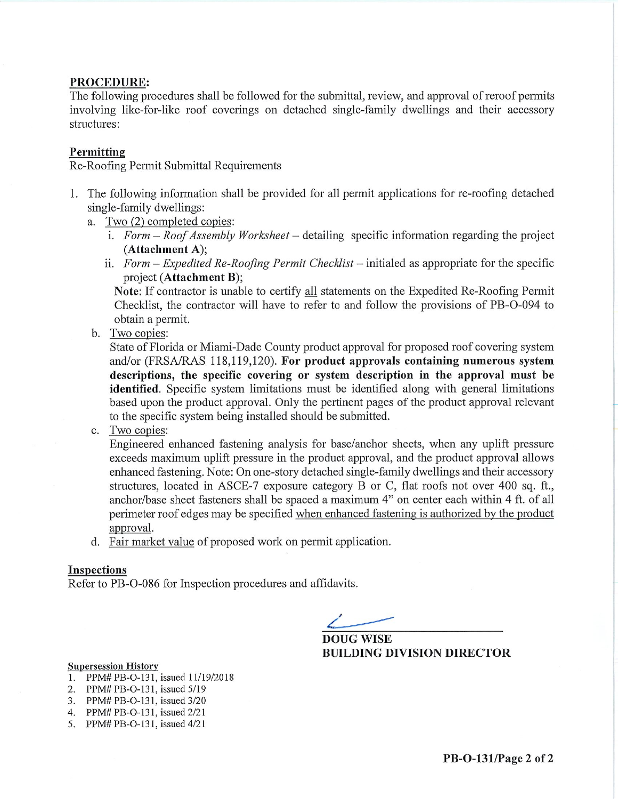#### PROCEDURE:

The following procedures shall be followed for the submittal, review, and approval of reroof permits involving like-for-like roof coverings on detached single-family dwellings and their accessory structures:

#### Permitting

Re-Roofing Permit Submittal Requirements

- 1. The following information shall be provided for all permit applications for re-roofing detached single-family dwellings:
	- a. Two (2) completed copies:
		- i. Form  $-Roof$  Assembly Worksheet  $-\$  detailing specific information regarding the project (Attachment A);
		- ii. Form Expedited Re-Roofing Permit Checklist initialed as appropriate for the specific project (Attachment B);

**Note:** If contractor is unable to certify all statements on the Expedited Re-Roofing Permit Checklist, the contractor will have to refer to and follow the provisions of PB-O-094 to obtain a permit.

b. Two copies:

State of Florida or Miami-Dade County product approval for proposed roof covering system and/or (FRSA/RAS 118,119,120). For product approvals containing numerous system descriptions, the specific covering or system description in the approval must be identified. Specific system limitations must be identified along with general limitations based upon the product approval. Only the pertinent pages of the product approval relevant to the specific system being installed should be submitted.

c. Two copies:

Engineered enhanced fastening analysis for base/anchor sheets, when any uplift pressure exceeds maximum uplift pressure in the product approval, and the product approval allows enhanced fastening. Note: On one-story detached single-family dwellings and their accessory structures, located in ASCE-7 exposure category B or C, flat roofs not over 400 sq. ft., anchor/base sheet fasteners shall be spaced a maximum 4" on center each within 4 ft. of all perimeter roof edges may be specified when enhanced fastening is authorized by the product approval.

d. Fair market value of proposed work on permit application.

#### **Inspections**

Refer to PB-O-086 for Inspection procedures and affidavits.

**DOUG WISE BUILDING DIVISION DIRECTOR** 

- **Supersession History**
- 1. PPM# PB-O-131, issued 11/19/2018
- 2. PPM# PB-O-131, issued 5/19
- 3. PPM# PB-O-131, issued 3/20
- 4. PPM# PB-O-131, issued 2/21
- 5. PPM# PB-O-131, issued 4/21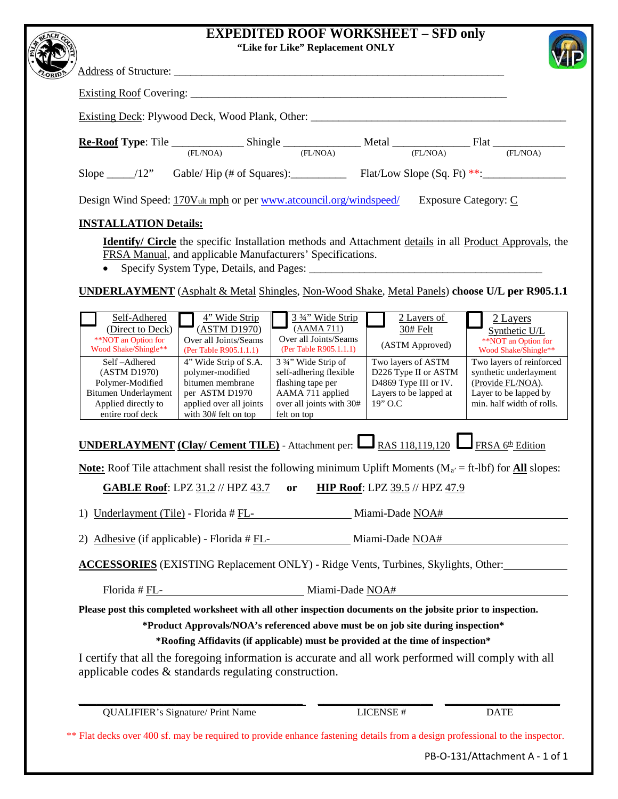# **EXPEDITED ROOF WORKSHEET - SFD only**

|              |                                                                                  |          | "Like for Like" Replacement ONLY |                             |          |  |
|--------------|----------------------------------------------------------------------------------|----------|----------------------------------|-----------------------------|----------|--|
| <b>LORID</b> |                                                                                  |          |                                  |                             |          |  |
|              |                                                                                  |          |                                  |                             |          |  |
|              | Existing Deck: Plywood Deck, Wood Plank, Other: ________________________________ |          |                                  |                             |          |  |
|              |                                                                                  | (FL/NOA) | (FL/NOA)                         | (FL/NOA)                    | (FL/NOA) |  |
|              | Slope $\_\_\$ /12" Gable/Hip (# of Squares): Flat/Low Slope (Sq. Ft) **:         |          |                                  |                             |          |  |
|              | Design Wind Speed: 170Vult mph or per www.atcouncil.org/windspeed/               |          |                                  | <b>Exposure Category: C</b> |          |  |

#### **INSTALLATION Details:**

**Identify/ Circle** the specific Installation methods and Attachment details in all Product Approvals, the FRSA Manual, and applicable Manufacturers' Specifications.

• Specify System Type, Details, and Pages:

**UNDERLAYMENT** (Asphalt & Metal Shingles, Non-Wood Shake, Metal Panels) **choose U/L per R905.1.1**

| Self-Adhered<br>(Direct to Deck)<br>**NOT an Option for<br>Wood Shake/Shingle** | 4" Wide Strip<br>(ASTM D1970)<br>Over all Joints/Seams<br>(Per Table R905.1.1.1) | 3 3/4" Wide Strip<br>(AAMA 711)<br>Over all Joints/Seams<br>(Per Table R905.1.1.1) | 2 Layers of<br>30# Felt<br>(ASTM Approved) | 2 Layers<br>Synthetic U/L<br>**NOT an Option for<br>Wood Shake/Shingle** |
|---------------------------------------------------------------------------------|----------------------------------------------------------------------------------|------------------------------------------------------------------------------------|--------------------------------------------|--------------------------------------------------------------------------|
| Self-Adhered<br>(ASTM D1970)                                                    | 4" Wide Strip of S.A.<br>polymer-modified                                        | 3 3/4" Wide Strip of<br>self-adhering flexible                                     | Two layers of ASTM<br>D226 Type II or ASTM | Two layers of reinforced<br>synthetic underlayment                       |
| Polymer-Modified                                                                | bitumen membrane                                                                 | flashing tape per                                                                  | D4869 Type III or IV.                      | (Provide FL/NOA).                                                        |
| Bitumen Underlayment<br>Applied directly to                                     | per ASTM D1970<br>applied over all joints                                        | AAMA 711 applied<br>over all joints with 30#                                       | Layers to be lapped at<br>$19"$ O.C.       | Layer to be lapped by<br>min. half width of rolls.                       |
| entire roof deck                                                                | with 30# felt on top                                                             | felt on top                                                                        |                                            |                                                                          |

**UNDERLAYMENT (Clay/ Cement TILE)** - Attachment per:  $\Box$  RAS 118,119,120  $\Box$  FRSA 6<sup>th</sup> Edition

**<u>Note:</u>** Roof Tile attachment shall resist the following minimum Uplift Moments ( $M_a$  = ft-lbf) for **All** slopes:

**GABLE Roof**: LPZ 31.2 // HPZ 43.7 **or HIP Roof**: LPZ 39.5 // HPZ 47.9

1) Underlayment (Tile) - Florida # FL- Miami-Dade NOA#

2) Adhesive (if applicable) - Florida # FL- Miami-Dade NOA#

**ACCESSORIES** (EXISTING Replacement ONLY) - Ridge Vents, Turbines, Skylights, Other:

Florida # FL-<br>Miami-Dade NOA#

**Please post this completed worksheet with all other inspection documents on the jobsite prior to inspection.** 

**\*Product Approvals/NOA's referenced above must be on job site during inspection\***

**\*Roofing Affidavits (if applicable) must be provided at the time of inspection\***

I certify that all the foregoing information is accurate and all work performed will comply with all applicable codes & standards regulating construction.

\_\_\_\_\_\_\_\_\_\_\_\_\_\_\_\_\_\_\_\_\_\_\_\_\_\_\_\_\_\_\_\_\_\_\_\_\_ \_\_\_\_\_\_\_\_\_\_\_\_\_\_\_\_\_\_\_ \_\_\_\_\_\_\_\_\_\_\_\_\_\_\_\_\_\_\_ QUALIFIER's Signature/ Print Name LICENSE # DATE

\*\* Flat decks over 400 sf. may be required to provide enhance fastening details from a design professional to the inspector.

PB-O-131/Attachment A - 1 of 1